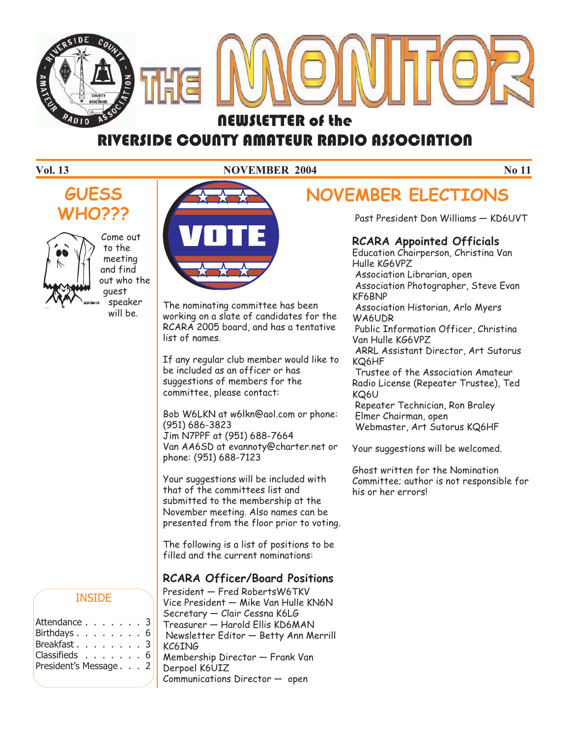

# **RIVERSIDE COUNTY AMATEUR RADIO ASSOCIATION**

#### **Vol. 13** NOVEMBER 2004 No 11





Come out to the meeting and find out who the guest speaker will be.



The nominating committee has been working on a slate of candidates for the RCARA 2005 board, and has a tentative list of names.

If any regular club member would like to be included as an officer or has suggestions of members for the committee, please contact:

Bob W6LKN at w6lkn@aol.com or phone: (951) 686-3823 Jim N7PPF at (951) 688-7664 Van AA6SD at evannoty@charter.net or phone: (951) 688-7123

Your suggestions will be included with that of the committees list and submitted to the membership at the November meeting. Also names can be presented from the floor prior to voting.

The following is a list of positions to be filled and the current nominations:

#### **RCARA Officer/Board Positions**

President — Fred RobertsW6TKV Vice President — Mike Van Hulle KN6N Secretary — Clair Cessna K6LG Treasurer — Harold Ellis KD6MAN Newsletter Editor — Betty Ann Merrill KC6ING Membership Director — Frank Van Derpoel K6UIZ Communications Director — open

# **NOVEMBER ELECTIONS**

Past President Don Williams — KD6UVT

#### **RCARA Appointed Officials**

Education Chairperson, Christina Van Hulle KG6VPZ Association Librarian, open Association Photographer, Steve Evan KF6BNP Association Historian, Arlo Myers WA6UDR Public Information Officer, Christina Van Hulle KG6VPZ ARRL Assistant Director, Art Sutorus KQ6HF Trustee of the Association Amateur Radio License (Repeater Trustee), Ted KQ6U Repeater Technician, Ron Braley Elmer Chairman, open

Webmaster, Art Sutorus KQ6HF

Your suggestions will be welcomed.

Ghost written for the Nomination Committee; author is not responsible for his or her errors!

#### INSIDE

| Attendance 3          |  |  |  |  |
|-----------------------|--|--|--|--|
| Birthdays. 6          |  |  |  |  |
| Breakfast. 3          |  |  |  |  |
| Classifieds 6         |  |  |  |  |
| President's Message 2 |  |  |  |  |
|                       |  |  |  |  |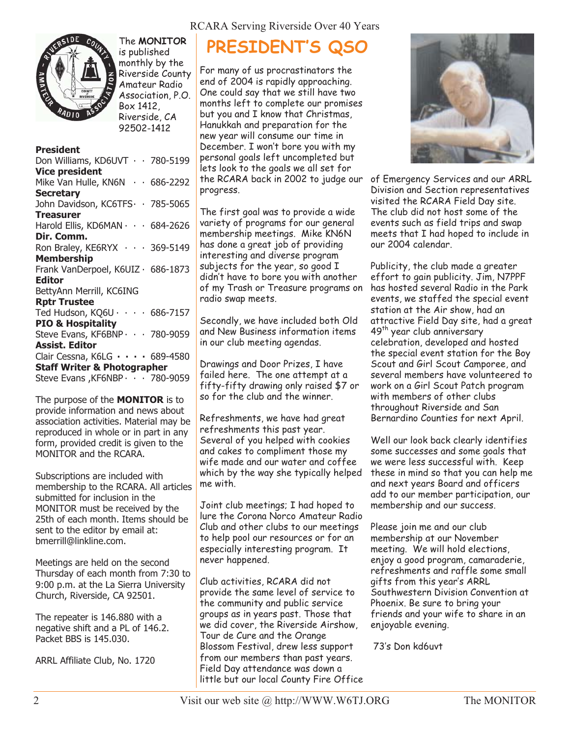



The **MONITOR** is published monthly by the Riverside County Amateur Radio Association, P.O. Box 1412, Riverside, CA 92502-1412

#### **President**

Don Williams, KD6UVT · · 780-5199 **Vice president** Mike Van Hulle, KN6N · · 686-2292 **Secretary** John Davidson, KC6TFS · · 785-5065 **Treasurer** Harold Ellis, KD6MAN · · · 684-2626 **Dir. Comm.** Ron Braley, KE6RYX · · · 369-5149 **Membership** Frank VanDerpoel, K6UIZ · 686-1873 **Editor** BettyAnn Merrill, KC6ING **Rptr Trustee** Ted Hudson, KQ6U ···· 686-7157 **PIO & Hospitality** Steve Evans, KF6BNP · · · 780-9059 **Assist. Editor** Clair Cessna, K6LG **····** 689-4580 **Staff Writer & Photographer** Steve Evans, KF6NBP · · · 780-9059

The purpose of the **MONITOR** is to provide information and news about association activities. Material may be reproduced in whole or in part in any form, provided credit is given to the MONITOR and the RCARA.

Subscriptions are included with membership to the RCARA. All articles submitted for inclusion in the MONITOR must be received by the 25th of each month. Items should be sent to the editor by email at: bmerrill@linkline.com.

Meetings are held on the second Thursday of each month from 7:30 to 9:00 p.m. at the La Sierra University Church, Riverside, CA 92501.

The repeater is 146.880 with a negative shift and a PL of 146.2. Packet BBS is 145.030.

ARRL Affiliate Club, No. 1720

## **PRESIDENT'S QSO**

For many of us procrastinators the end of 2004 is rapidly approaching. One could say that we still have two months left to complete our promises but you and I know that Christmas, Hanukkah and preparation for the new year will consume our time in December. I won't bore you with my personal goals left uncompleted but lets look to the goals we all set for the RCARA back in 2002 to judge our progress.

The first goal was to provide a wide variety of programs for our general membership meetings. Mike KN6N has done a great job of providing interesting and diverse program subjects for the year, so good I didn't have to bore you with another of my Trash or Treasure programs on radio swap meets.

Secondly, we have included both Old and New Business information items in our club meeting agendas.

Drawings and Door Prizes, I have failed here. The one attempt at a fifty-fifty drawing only raised \$7 or so for the club and the winner.

Refreshments, we have had great refreshments this past year. Several of you helped with cookies and cakes to compliment those my wife made and our water and coffee which by the way she typically helped me with.

Joint club meetings; I had hoped to lure the Corona Norco Amateur Radio Club and other clubs to our meetings to help pool our resources or for an especially interesting program. It never happened.

Club activities, RCARA did not provide the same level of service to the community and public service groups as in years past. Those that we did cover, the Riverside Airshow, Tour de Cure and the Orange Blossom Festival, drew less support from our members than past years. Field Day attendance was down a little but our local County Fire Office



of Emergency Services and our ARRL Division and Section representatives visited the RCARA Field Day site. The club did not host some of the events such as field trips and swap meets that I had hoped to include in our 2004 calendar.

Publicity, the club made a greater effort to gain publicity. Jim, N7PPF has hosted several Radio in the Park events, we staffed the special event station at the Air show, had an attractive Field Day site, had a great 49<sup>th</sup> year club anniversary celebration, developed and hosted the special event station for the Boy Scout and Girl Scout Camporee, and several members have volunteered to work on a Girl Scout Patch program with members of other clubs throughout Riverside and San Bernardino Counties for next April.

Well our look back clearly identifies some successes and some goals that we were less successful with. Keep these in mind so that you can help me and next years Board and officers add to our member participation, our membership and our success.

Please join me and our club membership at our November meeting. We will hold elections, enjoy a good program, camaraderie, refreshments and raffle some small gifts from this year's ARRL Southwestern Division Convention at Phoenix. Be sure to bring your friends and your wife to share in an enjoyable evening.

73's Don kd6uvt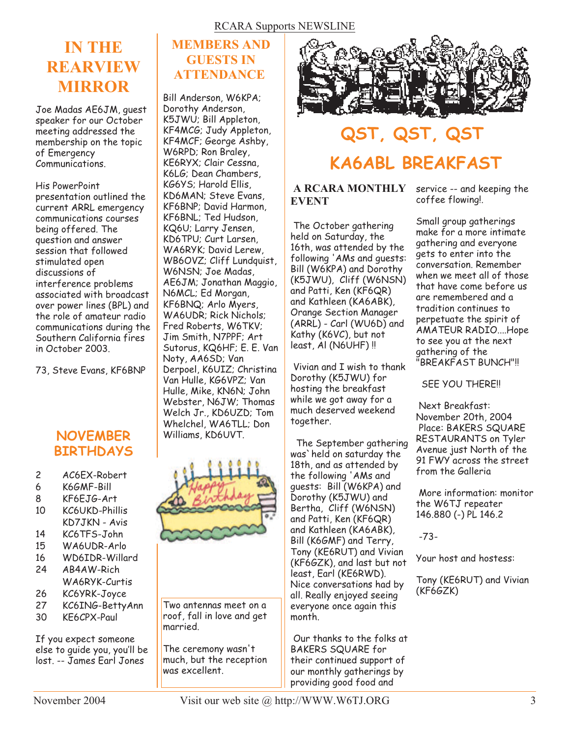## **IN THE REARVIEW MIRROR**

Joe Madas AE6JM, guest speaker for our October meeting addressed the membership on the topic of Emergency Communications.

#### His PowerPoint

presentation outlined the current ARRL emergency communications courses being offered. The question and answer session that followed stimulated open discussions of interference problems associated with broadcast over power lines (BPL) and the role of amateur radio communications during the Southern California fires in October 2003.

73, Steve Evans, KF6BNP

### **NOVEMBER** Williams, KD6UVT. **BIRTHDAYS**

| AC6EX-Robert<br>2 |  |
|-------------------|--|
|-------------------|--|

- 6 K6GMF-Bill
- 8 KF6EJG-Art 10 KC6UKD-Phillis
- KD7JKN Avis
- 14 KC6TFS-John
- 15 WA6UDR-Arlo
- 16 WD6IDR-Willard
- 24 AB4AW-Rich WA6RYK-Curtis
- 26 KC6YRK-Joyce
- 27 KC6ING-BettyAnn
- 30 KE6CPX-Paul

If you expect someone else to guide you, you'll be lost. -- *James Earl Jones*

### **MEMBERS AND GUESTS IN ATTENDANCE**

Bill Anderson, W6KPA; Dorothy Anderson, K5JWU; Bill Appleton, KF4MCG; Judy Appleton, KF4MCF; George Ashby, W6RPD; Ron Braley, KE6RYX; Clair Cessna, K6LG; Dean Chambers, KG6YS; Harold Ellis, KD6MAN; Steve Evans, KF6BNP; David Harmon, KF6BNL; Ted Hudson, KQ6U; Larry Jensen, KD6TPU; Curt Larsen, WA6RYK; David Lerew, WB6OVZ; Cliff Lundquist, W6NSN; Joe Madas, AE6JM; Jonathan Maggio, N6MCL; Ed Morgan, KF6BNQ; Arlo Myers, WA6UDR; Rick Nichols; Fred Roberts, W6TKV; Jim Smith, N7PPF; Art Sutorus, KQ6HF; E. E. Van Noty, AA6SD; Van Derpoel, K6UIZ; Christina Van Hulle, KG6VPZ; Van Hulle, Mike, KN6N; John Webster, N6JW; Thomas Welch Jr., KD6UZD; Tom Whelchel, WA6TLL; Don



Two antennas meet on a roof, fall in love and get married.

The ceremony wasn't much, but the reception was excellent.



# **QST, QST, QST KA6ABL BREAKFAST**

#### **A RCARA MONTHLY EVENT**

The October gathering held on Saturday, the 16th, was attended by the following 'AMs and guests: Bill (W6KPA) and Dorothy (K5JWU), Cliff (W6NSN) and Patti, Ken (KF6QR) and Kathleen (KA6ABK), Orange Section Manager  $(ARRL)$  - Carl  $(WU6D)$  and Kathy (K6VC), but not least, Al (N6UHF) !!

Vivian and I wish to thank Dorothy (K5JWU) for hosting the breakfast while we got away for a much deserved weekend together.

The September gathering was`held on saturday the 18th, and as attended by the following 'AMs and guests: Bill (W6KPA) and Dorothy (K5JWU) and Bertha, Cliff (W6NSN) and Patti, Ken (KF6QR) and Kathleen (KA6ABK), Bill (K6GMF) and Terry, Tony (KE6RUT) and Vivian (KF6GZK), and last but not least, Earl (KE6RWD). Nice conversations had by all. Really enjoyed seeing everyone once again this month.

Our thanks to the folks at BAKERS SQUARE for their continued support of our monthly gatherings by providing good food and

service -- and keeping the coffee flowing!.

Small group gatherings make for a more intimate gathering and everyone gets to enter into the conversation. Remember when we meet all of those that have come before us are remembered and a tradition continues to perpetuate the spirit of AMATEUR RADIO....Hope to see you at the next gathering of the "BREAKFAST BUNCH"!!

SEE YOU THERE!!

Next Breakfast: November 20th, 2004 Place: BAKERS SQUARE RESTAURANTS on Tyler Avenue just North of the 91 FWY across the street from the Galleria

More information: monitor the W6TJ repeater 146.880 (-) PL 146.2

-73-

Your host and hostess:

Tony (KE6RUT) and Vivian (KF6GZK)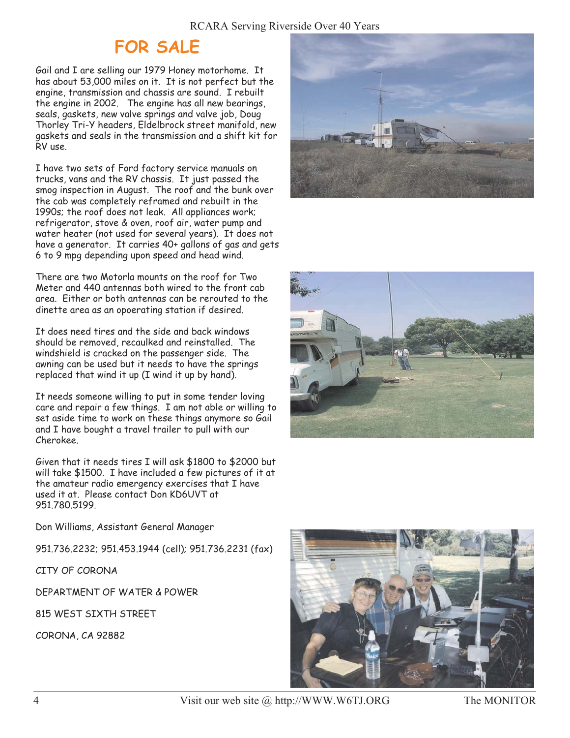## **FOR SALE**

Gail and I are selling our 1979 Honey motorhome. It has about 53,000 miles on it. It is not perfect but the engine, transmission and chassis are sound. I rebuilt the engine in 2002. The engine has all new bearings, seals, gaskets, new valve springs and valve job, Doug Thorley Tri-Y headers, Eldelbrock street manifold, new gaskets and seals in the transmission and a shift kit for RV use.

I have two sets of Ford factory service manuals on trucks, vans and the RV chassis. It just passed the smog inspection in August. The roof and the bunk over the cab was completely reframed and rebuilt in the 1990s; the roof does not leak. All appliances work; refrigerator, stove & oven, roof air, water pump and water heater (not used for several years). It does not have a generator. It carries 40+ gallons of gas and gets 6 to 9 mpg depending upon speed and head wind.

There are two Motorla mounts on the roof for Two Meter and 440 antennas both wired to the front cab area. Either or both antennas can be rerouted to the dinette area as an opoerating station if desired.

It does need tires and the side and back windows should be removed, recaulked and reinstalled. The windshield is cracked on the passenger side. The awning can be used but it needs to have the springs replaced that wind it up (I wind it up by hand).

It needs someone willing to put in some tender loving care and repair a few things. I am not able or willing to set aside time to work on these things anymore so Gail and I have bought a travel trailer to pull with our Cherokee.

Given that it needs tires I will ask \$1800 to \$2000 but will take \$1500. I have included a few pictures of it at the amateur radio emergency exercises that I have used it at. Please contact Don KD6UVT at 951.780.5199.

Don Williams, Assistant General Manager

951.736.2232; 951.453.1944 (cell); 951.736.2231 (fax)

CITY OF CORONA

DEPARTMENT OF WATER & POWER

815 WEST SIXTH STREET

CORONA, CA 92882







4 Visit our web site @ http://WWW.W6TJ.ORG The MONITOR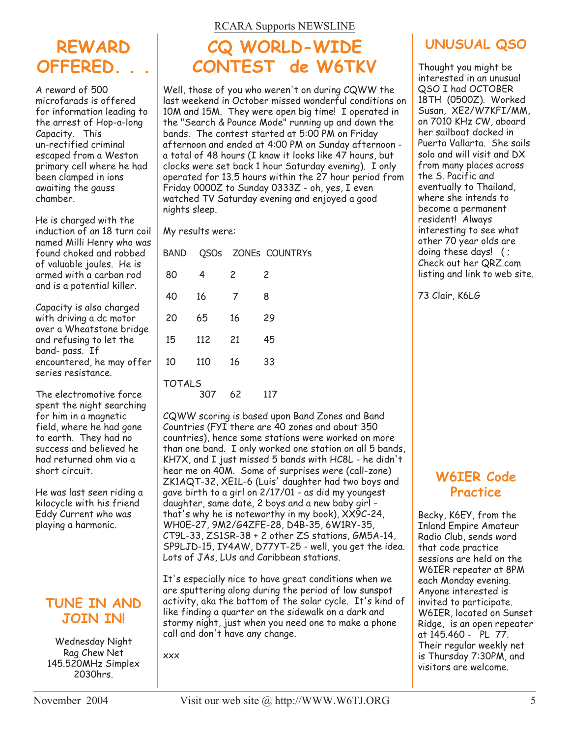## **REWARD OFFERED. . .**

A reward of 500 microfarads is offered for information leading to the arrest of Hop-a-long Capacity. This un-rectified criminal escaped from a Weston primary cell where he had been clamped in ions awaiting the gauss chamber.

He is charged with the induction of an 18 turn coil named Milli Henry who was found choked and robbed of valuable joules. He is armed with a carbon rod and is a potential killer.

Capacity is also charged with driving a dc motor over a Wheatstone bridge and refusing to let the band- pass. If encountered, he may offer series resistance.

The electromotive force spent the night searching for him in a magnetic field, where he had gone to earth. They had no success and believed he had returned ohm via a short circuit.

He was last seen riding a kilocycle with his friend Eddy Current who was playing a harmonic.

### **TUNE IN AND JOIN IN!**

Wednesday Night Rag Chew Net 145.520MHz Simplex 2030hrs.

#### RCARA Supports NEWSLINE

## **CQ WORLD-WIDE CONTEST de W6TKV**

Well, those of you who weren't on during CQWW the last weekend in October missed wonderful conditions on 10M and 15M. They were open big time! I operated in the "Search & Pounce Mode" running up and down the bands. The contest started at 5:00 PM on Friday afternoon and ended at 4:00 PM on Sunday afternoon a total of 48 hours (I know it looks like 47 hours, but clocks were set back 1 hour Saturday evening). I only operated for 13.5 hours within the 27 hour period from Friday 0000Z to Sunday 0333Z - oh, yes, I even watched TV Saturday evening and enjoyed a good nights sleep.

My results were:

| <b>BAND</b>   |     |    | QSOs ZONEs COUNTRYS |
|---------------|-----|----|---------------------|
| 80            | 4   | 2  | 2                   |
| 40            | 16  | 7  | 8                   |
| 20            | 65  | 16 | 29                  |
| 15            | 112 | 21 | 45                  |
| 10            | 110 | 16 | 33                  |
| <b>TOTALS</b> | 307 | 62 | 117                 |

CQWW scoring is based upon Band Zones and Band Countries (FYI there are 40 zones and about 350 countries), hence some stations were worked on more than one band. I only worked one station on all 5 bands, KH7X, and I just missed 5 bands with HC8L - he didn't hear me on 40M. Some of surprises were (call-zone) ZK1AQT-32, XE1L-6 (Luis' daughter had two boys and gave birth to a girl on 2/17/01 - as did my youngest daughter, same date, 2 boys and a new baby girl that's why he is noteworthy in my book), XX9C-24, WH0E-27, 9M2/G4ZFE-28, D4B-35, 6W1RY-35, CT9L-33, ZS1SR-38 + 2 other ZS stations, GM5A-14, SP9LJD-15, IY4AW, D77YT-25 - well, you get the idea. Lots of JAs, LUs and Caribbean stations.

It's especially nice to have great conditions when we are sputtering along during the period of low sunspot activity, aka the bottom of the solar cycle. It's kind of like finding a quarter on the sidewalk on a dark and stormy night, just when you need one to make a phone call and don't have any change.

xxx



Thought you might be interested in an unusual QSO I had OCTOBER 18TH (0500Z). Worked Susan, XE2/W7KFI/MM, on 7010 KHz CW, aboard her sailboat docked in Puerta Vallarta. She sails solo and will visit and DX from many places across the S. Pacific and eventually to Thailand, where she intends to become a permanent resident! Always interesting to see what other 70 year olds are doing these days! ( ; Check out her QRZ.com listing and link to web site.

73 Clair, K6LG

### **W6IER Code Practice**

Becky, K6EY, from the Inland Empire Amateur Radio Club, sends word that code practice sessions are held on the W6IER repeater at 8PM each Monday evening. Anyone interested is invited to participate. W6IER, located on Sunset Ridge, is an open repeater at 145.460 - PL 77. Their regular weekly net is Thursday 7:30PM, and visitors are welcome.